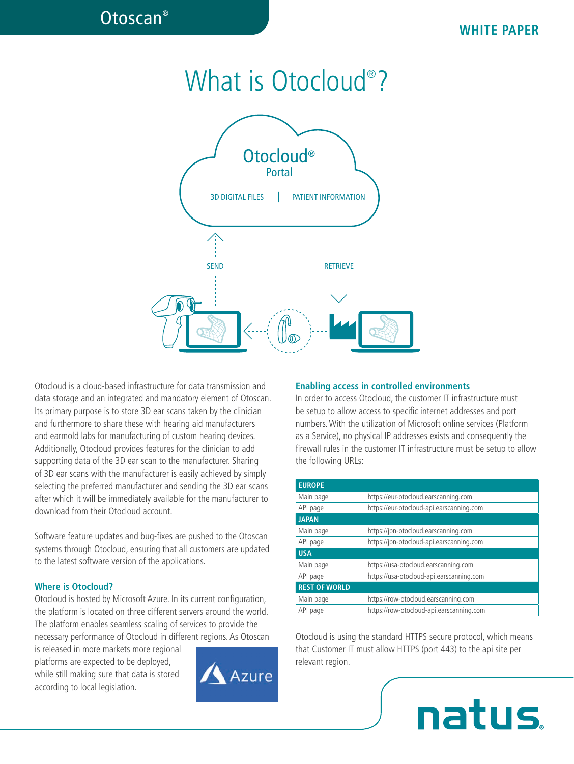# What is Otocloud® ?



Otocloud is a cloud-based infrastructure for data transmission and data storage and an integrated and mandatory element of Otoscan. Its primary purpose is to store 3D ear scans taken by the clinician and furthermore to share these with hearing aid manufacturers and earmold labs for manufacturing of custom hearing devices. Additionally, Otocloud provides features for the clinician to add supporting data of the 3D ear scan to the manufacturer. Sharing of 3D ear scans with the manufacturer is easily achieved by simply selecting the preferred manufacturer and sending the 3D ear scans after which it will be immediately available for the manufacturer to download from their Otocloud account.

Software feature updates and bug-fixes are pushed to the Otoscan systems through Otocloud, ensuring that all customers are updated to the latest software version of the applications.

#### **Where is Otocloud?**

Otocloud is hosted by Microsoft Azure. In its current configuration, the platform is located on three different servers around the world. The platform enables seamless scaling of services to provide the necessary performance of Otocloud in different regions. As Otoscan

is released in more markets more regional platforms are expected to be deployed, while still making sure that data is stored according to local legislation.



#### **Enabling access in controlled environments**

In order to access Otocloud, the customer IT infrastructure must be setup to allow access to specific internet addresses and port numbers. With the utilization of Microsoft online services (Platform as a Service), no physical IP addresses exists and consequently the firewall rules in the customer IT infrastructure must be setup to allow the following URLs:

| <b>EUROPE</b>        |                                          |
|----------------------|------------------------------------------|
| Main page            | https://eur-otocloud.earscanning.com     |
| API page             | https://eur-otocloud-api.earscanning.com |
| <b>JAPAN</b>         |                                          |
| Main page            | https://jpn-otocloud.earscanning.com     |
| API page             | https://jpn-otocloud-api.earscanning.com |
| <b>USA</b>           |                                          |
| Main page            | https://usa-otocloud.earscanning.com     |
| API page             | https://usa-otocloud-api.earscanning.com |
| <b>REST OF WORLD</b> |                                          |
| Main page            | https://row-otocloud.earscanning.com     |
| API page             | https://row-otocloud-api.earscanning.com |

Otocloud is using the standard HTTPS secure protocol, which means that Customer IT must allow HTTPS (port 443) to the api site per relevant region.